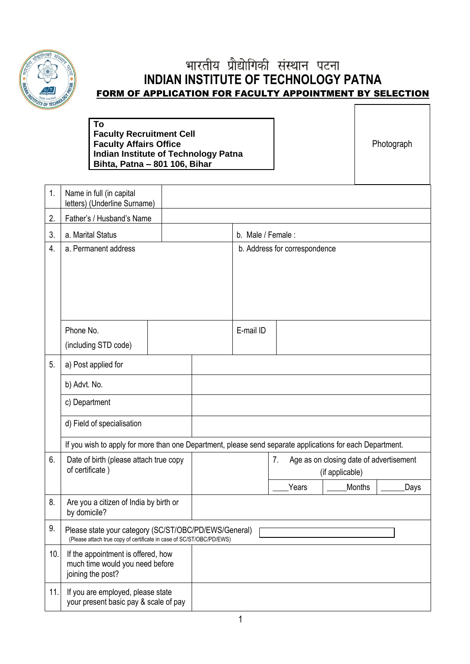

# भारतीय प्रौद्योगिकी संस्थान पटना **INDIAN INSTITUTE OF TECHNOLOGY PATNA** FORM OF APPLICATION FOR FACULTY APPOINTMENT BY SELECTION

## **To Faculty Recruitment Cell Faculty Affairs Office Indian Institute of Technology Patna Bihta, Patna – 801 106, Bihar**

Photograph

| 1.  | Name in full (in capital<br>letters) (Underline Surname)                                                                      |  |                   |                               |                                         |      |  |
|-----|-------------------------------------------------------------------------------------------------------------------------------|--|-------------------|-------------------------------|-----------------------------------------|------|--|
| 2.  | Father's / Husband's Name                                                                                                     |  |                   |                               |                                         |      |  |
| 3.  | a. Marital Status                                                                                                             |  | b. Male / Female: |                               |                                         |      |  |
| 4.  | a. Permanent address                                                                                                          |  |                   | b. Address for correspondence |                                         |      |  |
|     |                                                                                                                               |  |                   |                               |                                         |      |  |
|     |                                                                                                                               |  |                   |                               |                                         |      |  |
|     |                                                                                                                               |  |                   |                               |                                         |      |  |
|     |                                                                                                                               |  |                   |                               |                                         |      |  |
|     | Phone No.                                                                                                                     |  | E-mail ID         |                               |                                         |      |  |
|     | (including STD code)                                                                                                          |  |                   |                               |                                         |      |  |
| 5.  | a) Post applied for                                                                                                           |  |                   |                               |                                         |      |  |
|     | b) Advt. No.                                                                                                                  |  |                   |                               |                                         |      |  |
|     | c) Department                                                                                                                 |  |                   |                               |                                         |      |  |
|     | d) Field of specialisation                                                                                                    |  |                   |                               |                                         |      |  |
|     | If you wish to apply for more than one Department, please send separate applications for each Department.                     |  |                   |                               |                                         |      |  |
| 6.  | Date of birth (please attach true copy                                                                                        |  |                   | 7.                            | Age as on closing date of advertisement |      |  |
|     | of certificate)                                                                                                               |  |                   |                               | (if applicable)                         |      |  |
|     |                                                                                                                               |  |                   | Years                         | Months                                  | Days |  |
| 8.  | Are you a citizen of India by birth or<br>by domicile?                                                                        |  |                   |                               |                                         |      |  |
| 9.  | Please state your category (SC/ST/OBC/PD/EWS/General)<br>(Please attach true copy of certificate in case of SC/ST/OBC/PD/EWS) |  |                   |                               |                                         |      |  |
| 10. | If the appointment is offered, how<br>much time would you need before<br>joining the post?                                    |  |                   |                               |                                         |      |  |
| 11. | If you are employed, please state<br>your present basic pay & scale of pay                                                    |  |                   |                               |                                         |      |  |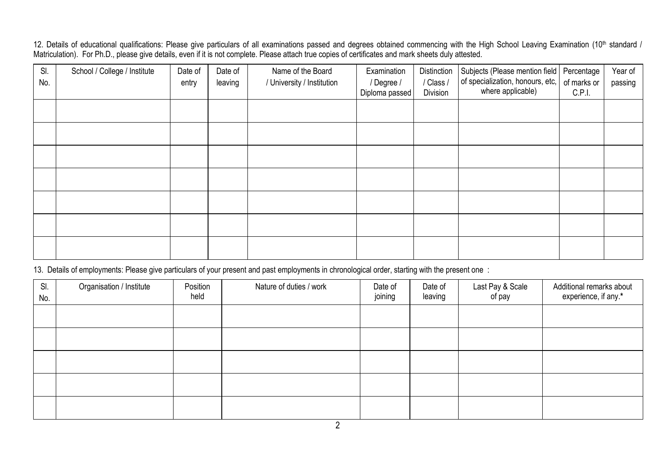12. Details of educational qualifications: Please give particulars of all examinations passed and degrees obtained commencing with the High School Leaving Examination (10<sup>th</sup> standard / Matriculation). For Ph.D., please give details, even if it is not complete. Please attach true copies of certificates and mark sheets duly attested.

| SI.<br>No. | School / College / Institute | Date of<br>entry | Date of<br>leaving | Name of the Board<br>/ University / Institution | Examination<br>/ Degree / | Distinction<br>/ Class /<br>Division | Subjects (Please mention field<br>of specialization, honours, etc,<br>where applicable) | Percentage<br>of marks or | Year of<br>passing |
|------------|------------------------------|------------------|--------------------|-------------------------------------------------|---------------------------|--------------------------------------|-----------------------------------------------------------------------------------------|---------------------------|--------------------|
|            |                              |                  |                    |                                                 | Diploma passed            |                                      |                                                                                         | C.P.I.                    |                    |
|            |                              |                  |                    |                                                 |                           |                                      |                                                                                         |                           |                    |
|            |                              |                  |                    |                                                 |                           |                                      |                                                                                         |                           |                    |
|            |                              |                  |                    |                                                 |                           |                                      |                                                                                         |                           |                    |
|            |                              |                  |                    |                                                 |                           |                                      |                                                                                         |                           |                    |
|            |                              |                  |                    |                                                 |                           |                                      |                                                                                         |                           |                    |
|            |                              |                  |                    |                                                 |                           |                                      |                                                                                         |                           |                    |
|            |                              |                  |                    |                                                 |                           |                                      |                                                                                         |                           |                    |

13. Details of employments: Please give particulars of your present and past employments in chronological order, starting with the present one :

| SI.<br>No. | Organisation / Institute | Position<br>held | Nature of duties / work | Date of<br>joining | Date of<br>leaving | Last Pay & Scale<br>of pay | Additional remarks about<br>experience, if any.* |
|------------|--------------------------|------------------|-------------------------|--------------------|--------------------|----------------------------|--------------------------------------------------|
|            |                          |                  |                         |                    |                    |                            |                                                  |
|            |                          |                  |                         |                    |                    |                            |                                                  |
|            |                          |                  |                         |                    |                    |                            |                                                  |
|            |                          |                  |                         |                    |                    |                            |                                                  |
|            |                          |                  |                         |                    |                    |                            |                                                  |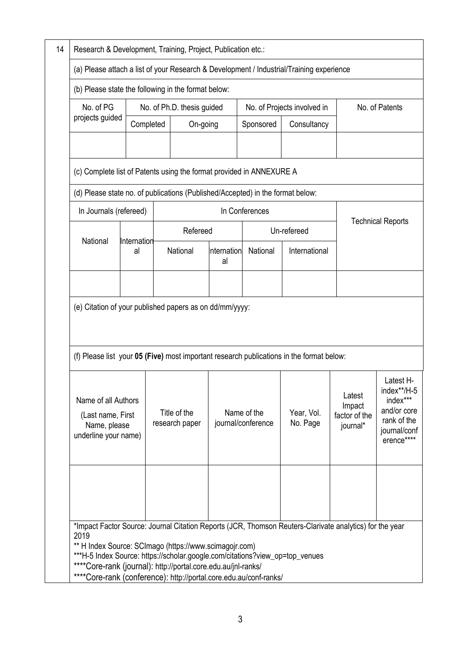| Research & Development, Training, Project, Publication etc.:                                            |           |                            |                                |             |                                   |                        |                                               |                                                                                                  |  |
|---------------------------------------------------------------------------------------------------------|-----------|----------------------------|--------------------------------|-------------|-----------------------------------|------------------------|-----------------------------------------------|--------------------------------------------------------------------------------------------------|--|
| (a) Please attach a list of your Research & Development / Industrial/Training experience                |           |                            |                                |             |                                   |                        |                                               |                                                                                                  |  |
| (b) Please state the following in the format below:                                                     |           |                            |                                |             |                                   |                        |                                               |                                                                                                  |  |
| No. of PG                                                                                               |           | No. of Ph.D. thesis guided |                                |             | No. of Projects involved in       |                        | No. of Patents                                |                                                                                                  |  |
| projects guided                                                                                         | Completed |                            | On-going                       |             | Sponsored                         | Consultancy            |                                               |                                                                                                  |  |
|                                                                                                         |           |                            |                                |             |                                   |                        |                                               |                                                                                                  |  |
| (c) Complete list of Patents using the format provided in ANNEXURE A                                    |           |                            |                                |             |                                   |                        |                                               |                                                                                                  |  |
| (d) Please state no. of publications (Published/Accepted) in the format below:                          |           |                            |                                |             |                                   |                        |                                               |                                                                                                  |  |
| In Journals (refereed)                                                                                  |           |                            |                                |             | In Conferences                    |                        |                                               |                                                                                                  |  |
|                                                                                                         |           |                            | Refereed                       |             |                                   | Un-refereed            |                                               | <b>Technical Reports</b>                                                                         |  |
| National<br>Internation<br>al                                                                           |           | National<br>al             |                                | Internation | National<br>International         |                        |                                               |                                                                                                  |  |
|                                                                                                         |           |                            |                                |             |                                   |                        |                                               |                                                                                                  |  |
| (e) Citation of your published papers as on dd/mm/yyyy:                                                 |           |                            |                                |             |                                   |                        |                                               |                                                                                                  |  |
|                                                                                                         |           |                            |                                |             |                                   |                        |                                               |                                                                                                  |  |
| (f) Please list your 05 (Five) most important research publications in the format below:                |           |                            |                                |             |                                   |                        |                                               |                                                                                                  |  |
| Name of all Authors<br>(Last name, First<br>Name, please<br>underline your name)                        |           |                            | Title of the<br>research paper |             | Name of the<br>journal/conference | Year, Vol.<br>No. Page | Latest<br>Impact<br>factor of the<br>journal* | Latest H-<br>index**/H-5<br>index***<br>and/or core<br>rank of the<br>journal/conf<br>erence**** |  |
| *Impact Factor Source: Journal Citation Reports (JCR, Thomson Reuters-Clarivate analytics) for the year |           |                            |                                |             |                                   |                        |                                               |                                                                                                  |  |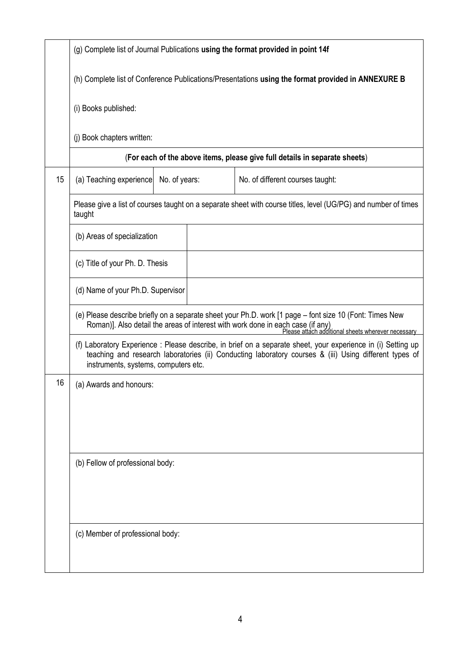|    | (g) Complete list of Journal Publications using the format provided in point 14f                   |               |                                                                                                                                                                                                                                                  |  |  |  |  |  |  |  |
|----|----------------------------------------------------------------------------------------------------|---------------|--------------------------------------------------------------------------------------------------------------------------------------------------------------------------------------------------------------------------------------------------|--|--|--|--|--|--|--|
|    | (h) Complete list of Conference Publications/Presentations using the format provided in ANNEXURE B |               |                                                                                                                                                                                                                                                  |  |  |  |  |  |  |  |
|    | (i) Books published:                                                                               |               |                                                                                                                                                                                                                                                  |  |  |  |  |  |  |  |
|    | (j) Book chapters written:                                                                         |               |                                                                                                                                                                                                                                                  |  |  |  |  |  |  |  |
|    |                                                                                                    |               | (For each of the above items, please give full details in separate sheets)                                                                                                                                                                       |  |  |  |  |  |  |  |
| 15 | (a) Teaching experience                                                                            | No. of years: | No. of different courses taught:                                                                                                                                                                                                                 |  |  |  |  |  |  |  |
|    | taught                                                                                             |               | Please give a list of courses taught on a separate sheet with course titles, level (UG/PG) and number of times                                                                                                                                   |  |  |  |  |  |  |  |
|    | (b) Areas of specialization                                                                        |               |                                                                                                                                                                                                                                                  |  |  |  |  |  |  |  |
|    | (c) Title of your Ph. D. Thesis                                                                    |               |                                                                                                                                                                                                                                                  |  |  |  |  |  |  |  |
|    | (d) Name of your Ph.D. Supervisor                                                                  |               |                                                                                                                                                                                                                                                  |  |  |  |  |  |  |  |
|    |                                                                                                    |               | (e) Please describe briefly on a separate sheet your Ph.D. work [1 page - font size 10 (Font: Times New<br>Roman)]. Also detail the areas of interest with work done in each case (if any)<br>Please attach additional sheets wherever necessary |  |  |  |  |  |  |  |
|    | instruments, systems, computers etc.                                                               |               | (f) Laboratory Experience : Please describe, in brief on a separate sheet, your experience in (i) Setting up<br>teaching and research laboratories (ii) Conducting laboratory courses & (iii) Using different types of                           |  |  |  |  |  |  |  |
| 16 | (a) Awards and honours:                                                                            |               |                                                                                                                                                                                                                                                  |  |  |  |  |  |  |  |
|    |                                                                                                    |               |                                                                                                                                                                                                                                                  |  |  |  |  |  |  |  |
|    |                                                                                                    |               |                                                                                                                                                                                                                                                  |  |  |  |  |  |  |  |
|    | (b) Fellow of professional body:                                                                   |               |                                                                                                                                                                                                                                                  |  |  |  |  |  |  |  |
|    |                                                                                                    |               |                                                                                                                                                                                                                                                  |  |  |  |  |  |  |  |
|    |                                                                                                    |               |                                                                                                                                                                                                                                                  |  |  |  |  |  |  |  |
|    | (c) Member of professional body:                                                                   |               |                                                                                                                                                                                                                                                  |  |  |  |  |  |  |  |
|    |                                                                                                    |               |                                                                                                                                                                                                                                                  |  |  |  |  |  |  |  |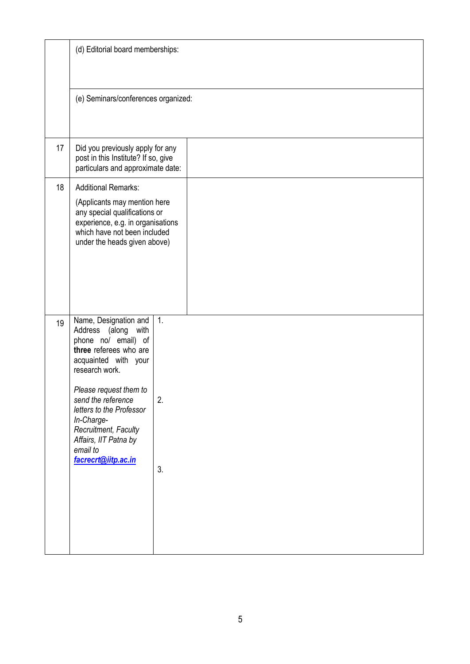|    | (d) Editorial board memberships:                                                                                                                                                                                                                                                                                      |                              |
|----|-----------------------------------------------------------------------------------------------------------------------------------------------------------------------------------------------------------------------------------------------------------------------------------------------------------------------|------------------------------|
|    | (e) Seminars/conferences organized:                                                                                                                                                                                                                                                                                   |                              |
| 17 | Did you previously apply for any<br>post in this Institute? If so, give<br>particulars and approximate date:                                                                                                                                                                                                          |                              |
| 18 | <b>Additional Remarks:</b><br>(Applicants may mention here<br>any special qualifications or<br>experience, e.g. in organisations<br>which have not been included<br>under the heads given above)                                                                                                                      |                              |
| 19 | Name, Designation and<br>Address (along with<br>phone no/ email) of<br>three referees who are<br>acquainted with your<br>research work.<br>Please request them to<br>send the reference<br>letters to the Professor<br>In-Charge-<br>Recruitment, Faculty<br>Affairs, IIT Patna by<br>email to<br>facrecrt@iitp.ac.in | $\overline{1}$ .<br>2.<br>3. |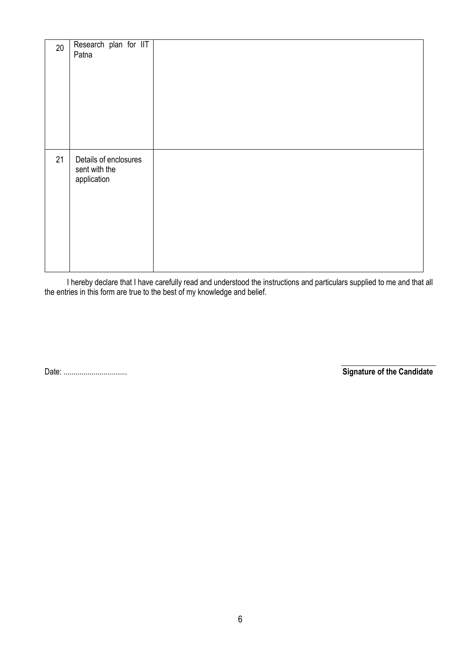| 20 | Research plan for IIT<br>Patna                        |  |
|----|-------------------------------------------------------|--|
| 21 | Details of enclosures<br>sent with the<br>application |  |

I hereby declare that I have carefully read and understood the instructions and particulars supplied to me and that all the entries in this form are true to the best of my knowledge and belief.

 $\frac{1}{2}$  , and the set of the set of the set of the set of the set of the set of the set of the set of the set of the set of the set of the set of the set of the set of the set of the set of the set of the set of the set Date: ................................ **Signature of the Candidate**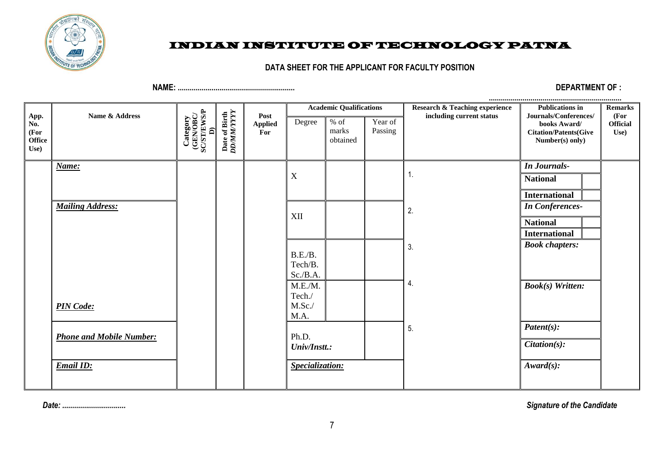

# INDIAN INSTITUTE OF TECHNOLOGY PATNA

### **DATA SHEET FOR THE APPLICANT FOR FACULTY POSITION**

**NAME: ........................................................... DEPARTMENT OF :** 

|                                       |                                 |                                           | Date of Birth<br>DD/MM/YYYY |                               |                        | <b>Academic Qualifications</b> |                    | <b>Research &amp; Teaching experience</b> | <b>Publications in</b>                                                                   | <b>Remarks</b>                  |
|---------------------------------------|---------------------------------|-------------------------------------------|-----------------------------|-------------------------------|------------------------|--------------------------------|--------------------|-------------------------------------------|------------------------------------------------------------------------------------------|---------------------------------|
| App.<br>No.<br>(For<br>Office<br>Use) | Name & Address                  | Category<br>(GENOBC/<br>SC/ST/EWS/P<br>⊇ີ |                             | Post<br><b>Applied</b><br>For | Degree                 | $%$ of<br>marks<br>obtained    | Year of<br>Passing | including current status                  | Journals/Conferences/<br>books Award/<br><b>Citation/Patents(Give</b><br>Number(s) only) | (For<br><b>Official</b><br>Use) |
|                                       | Name:                           |                                           |                             |                               |                        |                                |                    |                                           | <b>In Journals-</b>                                                                      |                                 |
|                                       |                                 |                                           |                             |                               | X                      |                                |                    |                                           | <b>National</b>                                                                          |                                 |
|                                       |                                 |                                           |                             |                               |                        |                                |                    |                                           | <b>International</b>                                                                     |                                 |
|                                       | <b>Mailing Address:</b>         |                                           |                             |                               | XII                    |                                |                    | 2.                                        | <b>In Conferences-</b>                                                                   |                                 |
|                                       |                                 |                                           |                             |                               |                        |                                |                    |                                           | <b>National</b>                                                                          |                                 |
|                                       |                                 |                                           |                             |                               |                        |                                |                    |                                           | <b>International</b>                                                                     |                                 |
|                                       |                                 |                                           |                             |                               | B.E.B.                 |                                |                    | 3.                                        | <b>Book chapters:</b>                                                                    |                                 |
|                                       |                                 |                                           |                             |                               | Tech/B.                |                                |                    |                                           |                                                                                          |                                 |
|                                       |                                 |                                           |                             |                               | Sc./B.A.               |                                |                    |                                           |                                                                                          |                                 |
|                                       |                                 |                                           |                             |                               | M.E.M.                 |                                |                    | 4.                                        | <b>Book(s)</b> Written:                                                                  |                                 |
|                                       | <b>PIN Code:</b>                |                                           |                             |                               | Tech./<br>$M.Sc$ ./    |                                |                    |                                           |                                                                                          |                                 |
|                                       |                                 |                                           |                             |                               | M.A.                   |                                |                    |                                           |                                                                                          |                                 |
|                                       |                                 |                                           |                             |                               |                        |                                |                    | 5.                                        | $\mathbf{Pattern}(s)$ :                                                                  |                                 |
|                                       | <b>Phone and Mobile Number:</b> |                                           |                             |                               | Ph.D.<br>Univ/Instt.:  |                                |                    |                                           | $Citation(s)$ :                                                                          |                                 |
|                                       | <b>Email ID:</b>                |                                           |                             |                               | <b>Specialization:</b> |                                |                    |                                           | $Award(s)$ :                                                                             |                                 |
|                                       |                                 |                                           |                             |                               |                        |                                |                    |                                           |                                                                                          |                                 |

*Date: ................................**Signature of the Candidate*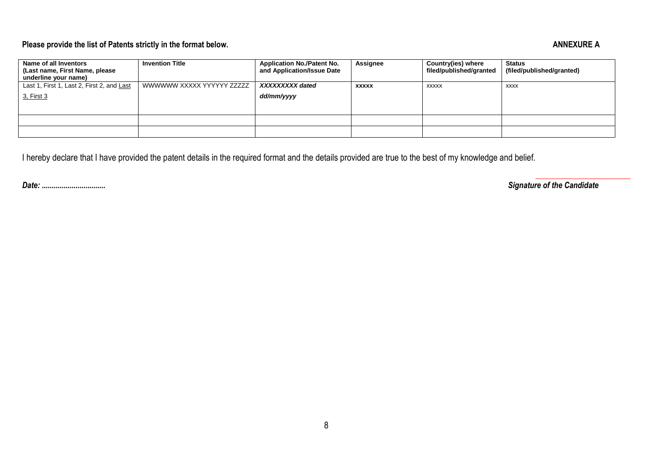# Please provide the list of Patents strictly in the format below. ANNEXURE A

| Name of all Inventors<br>(Last name, First Name, please<br>underline your name) | <b>Invention Title</b>    | <b>Application No./Patent No.</b><br>and Application/Issue Date | Assignee     | Country(ies) where<br>filed/published/granted | Status<br>(filed/published/granted) |
|---------------------------------------------------------------------------------|---------------------------|-----------------------------------------------------------------|--------------|-----------------------------------------------|-------------------------------------|
| Last 1, First 1, Last 2, First 2, and Last                                      | WWWWWW XXXXX YYYYYY ZZZZZ | XXXXXXXX dated                                                  | <b>XXXXX</b> | <b>XXXXX</b>                                  | <b>XXXX</b>                         |
| <u>3, First 3</u>                                                               |                           | dd/mm/yyyy                                                      |              |                                               |                                     |
|                                                                                 |                           |                                                                 |              |                                               |                                     |
|                                                                                 |                           |                                                                 |              |                                               |                                     |
|                                                                                 |                           |                                                                 |              |                                               |                                     |

I hereby declare that I have provided the patent details in the required format and the details provided are true to the best of my knowledge and belief.

*Date: ................................**Signature of the Candidate*

\_\_\_\_\_\_\_\_\_\_\_\_\_\_\_\_\_\_\_\_\_\_\_\_